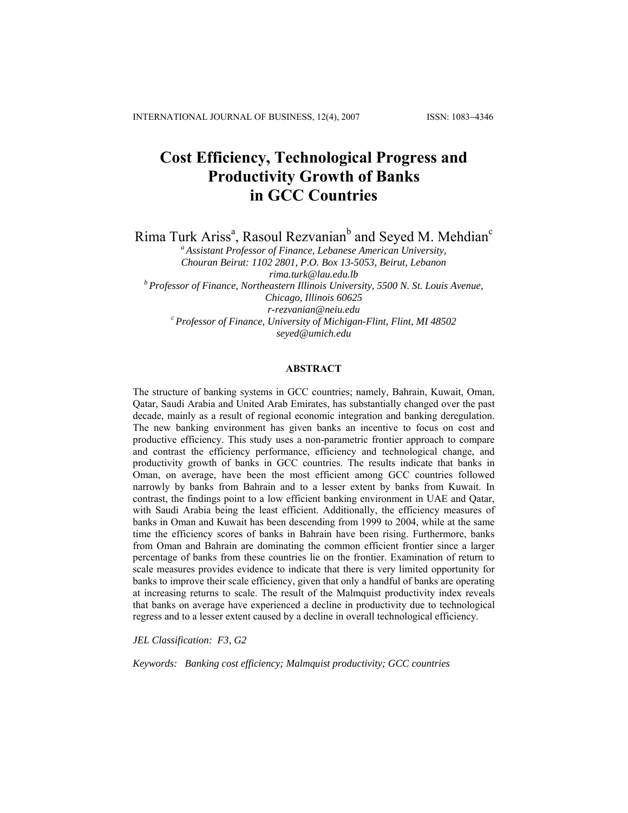# **Cost Efficiency, Technological Progress and Productivity Growth of Banks in GCC Countries**

Rima Turk Ariss<sup>a</sup>, Rasoul Rezvanian<sup>b</sup> and Seyed M. Mehdian<sup>c</sup>

*a Assistant Professor of Finance, Lebanese American University, Chouran Beirut: 1102 2801, P.O. Box 13-5053, Beirut, Lebanon [rima.turk@lau.edu.lb](mailto:rima.turk@lau.edu.lb) b Professor of Finance, Northeastern Illinois University, 5500 N. St. Louis Avenue, Chicago, Illinois 60625 [r-rezvanian@neiu.edu](mailto:r-rezvanian@neiu.edu) c Professor of Finance, University of Michigan-Flint, Flint, MI 48502 [seyed@umich.edu](mailto:seyed@umich.edu)*

#### **ABSTRACT**

The structure of banking systems in GCC countries; namely, Bahrain, Kuwait, Oman, Qatar, Saudi Arabia and United Arab Emirates, has substantially changed over the past decade, mainly as a result of regional economic integration and banking deregulation. The new banking environment has given banks an incentive to focus on cost and productive efficiency. This study uses a non-parametric frontier approach to compare and contrast the efficiency performance, efficiency and technological change, and productivity growth of banks in GCC countries. The results indicate that banks in Oman, on average, have been the most efficient among GCC countries followed narrowly by banks from Bahrain and to a lesser extent by banks from Kuwait. In contrast, the findings point to a low efficient banking environment in UAE and Qatar, with Saudi Arabia being the least efficient. Additionally, the efficiency measures of banks in Oman and Kuwait has been descending from 1999 to 2004, while at the same time the efficiency scores of banks in Bahrain have been rising. Furthermore, banks from Oman and Bahrain are dominating the common efficient frontier since a larger percentage of banks from these countries lie on the frontier. Examination of return to scale measures provides evidence to indicate that there is very limited opportunity for banks to improve their scale efficiency, given that only a handful of banks are operating at increasing returns to scale. The result of the Malmquist productivity index reveals that banks on average have experienced a decline in productivity due to technological regress and to a lesser extent caused by a decline in overall technological efficiency.

*JEL Classification: F3, G2* 

*Keywords: Banking cost efficiency; Malmquist productivity; GCC countries*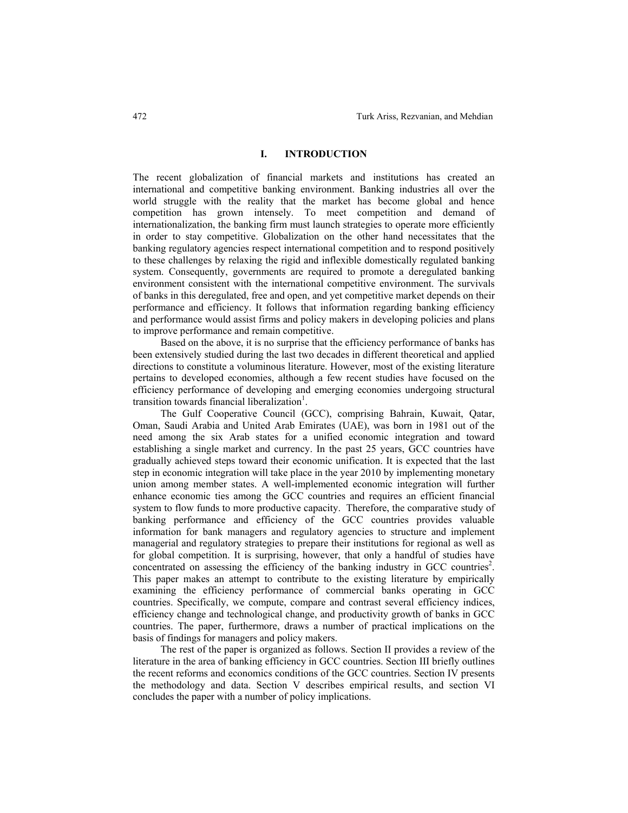# **I. INTRODUCTION**

The recent globalization of financial markets and institutions has created an international and competitive banking environment. Banking industries all over the world struggle with the reality that the market has become global and hence competition has grown intensely. To meet competition and demand of internationalization, the banking firm must launch strategies to operate more efficiently in order to stay competitive. Globalization on the other hand necessitates that the banking regulatory agencies respect international competition and to respond positively to these challenges by relaxing the rigid and inflexible domestically regulated banking system. Consequently, governments are required to promote a deregulated banking environment consistent with the international competitive environment. The survivals of banks in this deregulated, free and open, and yet competitive market depends on their performance and efficiency. It follows that information regarding banking efficiency and performance would assist firms and policy makers in developing policies and plans to improve performance and remain competitive.

Based on the above, it is no surprise that the efficiency performance of banks has been extensively studied during the last two decades in different theoretical and applied directions to constitute a voluminous literature. However, most of the existing literature pertains to developed economies, although a few recent studies have focused on the efficiency performance of developing and emerging economies undergoing structural transition towards financial liberalization<sup>1</sup>.

The Gulf Cooperative Council (GCC), comprising Bahrain, Kuwait, Qatar, Oman, Saudi Arabia and United Arab Emirates (UAE), was born in 1981 out of the need among the six Arab states for a unified economic integration and toward establishing a single market and currency. In the past 25 years, GCC countries have gradually achieved steps toward their economic unification. It is expected that the last step in economic integration will take place in the year 2010 by implementing monetary union among member states. A well-implemented economic integration will further enhance economic ties among the GCC countries and requires an efficient financial system to flow funds to more productive capacity. Therefore, the comparative study of banking performance and efficiency of the GCC countries provides valuable information for bank managers and regulatory agencies to structure and implement managerial and regulatory strategies to prepare their institutions for regional as well as for global competition. It is surprising, however, that only a handful of studies have concentrated on assessing the efficiency of the banking industry in GCC countries<sup>2</sup>. This paper makes an attempt to contribute to the existing literature by empirically examining the efficiency performance of commercial banks operating in GCC countries. Specifically, we compute, compare and contrast several efficiency indices, efficiency change and technological change, and productivity growth of banks in GCC countries. The paper, furthermore, draws a number of practical implications on the basis of findings for managers and policy makers.

The rest of the paper is organized as follows. Section II provides a review of the literature in the area of banking efficiency in GCC countries. Section III briefly outlines the recent reforms and economics conditions of the GCC countries. Section IV presents the methodology and data. Section V describes empirical results, and section VI concludes the paper with a number of policy implications.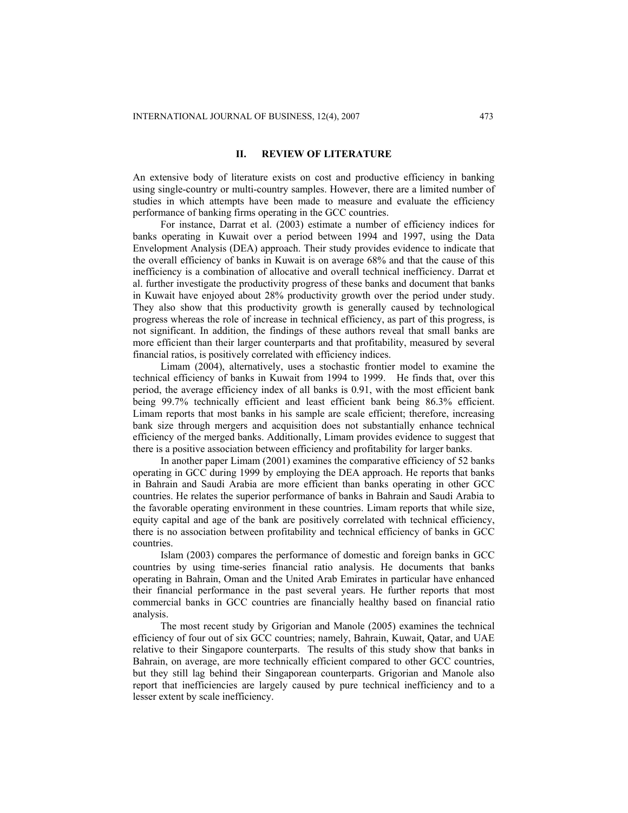# **II. REVIEW OF LITERATURE**

An extensive body of literature exists on cost and productive efficiency in banking using single-country or multi-country samples. However, there are a limited number of studies in which attempts have been made to measure and evaluate the efficiency performance of banking firms operating in the GCC countries.

For instance, Darrat et al. (2003) estimate a number of efficiency indices for banks operating in Kuwait over a period between 1994 and 1997, using the Data Envelopment Analysis (DEA) approach. Their study provides evidence to indicate that the overall efficiency of banks in Kuwait is on average 68% and that the cause of this inefficiency is a combination of allocative and overall technical inefficiency. Darrat et al. further investigate the productivity progress of these banks and document that banks in Kuwait have enjoyed about 28% productivity growth over the period under study. They also show that this productivity growth is generally caused by technological progress whereas the role of increase in technical efficiency, as part of this progress, is not significant. In addition, the findings of these authors reveal that small banks are more efficient than their larger counterparts and that profitability, measured by several financial ratios, is positively correlated with efficiency indices.

Limam (2004), alternatively, uses a stochastic frontier model to examine the technical efficiency of banks in Kuwait from 1994 to 1999. He finds that, over this period, the average efficiency index of all banks is 0.91, with the most efficient bank being 99.7% technically efficient and least efficient bank being 86.3% efficient. Limam reports that most banks in his sample are scale efficient; therefore, increasing bank size through mergers and acquisition does not substantially enhance technical efficiency of the merged banks. Additionally, Limam provides evidence to suggest that there is a positive association between efficiency and profitability for larger banks.

In another paper Limam (2001) examines the comparative efficiency of 52 banks operating in GCC during 1999 by employing the DEA approach. He reports that banks in Bahrain and Saudi Arabia are more efficient than banks operating in other GCC countries. He relates the superior performance of banks in Bahrain and Saudi Arabia to the favorable operating environment in these countries. Limam reports that while size, equity capital and age of the bank are positively correlated with technical efficiency, there is no association between profitability and technical efficiency of banks in GCC countries.

Islam (2003) compares the performance of domestic and foreign banks in GCC countries by using time-series financial ratio analysis. He documents that banks operating in Bahrain, Oman and the United Arab Emirates in particular have enhanced their financial performance in the past several years. He further reports that most commercial banks in GCC countries are financially healthy based on financial ratio analysis.

The most recent study by Grigorian and Manole (2005) examines the technical efficiency of four out of six GCC countries; namely, Bahrain, Kuwait, Qatar, and UAE relative to their Singapore counterparts. The results of this study show that banks in Bahrain, on average, are more technically efficient compared to other GCC countries, but they still lag behind their Singaporean counterparts. Grigorian and Manole also report that inefficiencies are largely caused by pure technical inefficiency and to a lesser extent by scale inefficiency.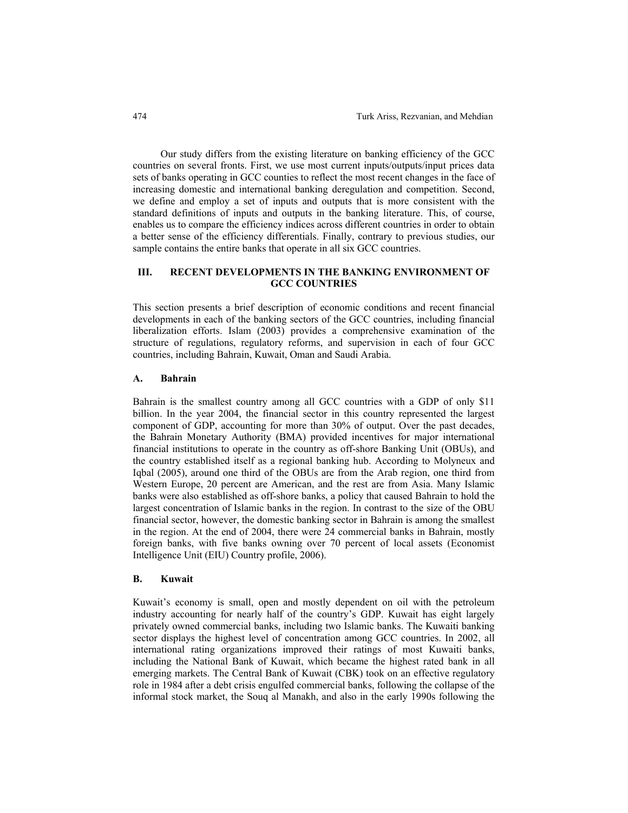Our study differs from the existing literature on banking efficiency of the GCC countries on several fronts. First, we use most current inputs/outputs/input prices data sets of banks operating in GCC counties to reflect the most recent changes in the face of increasing domestic and international banking deregulation and competition. Second, we define and employ a set of inputs and outputs that is more consistent with the standard definitions of inputs and outputs in the banking literature. This, of course, enables us to compare the efficiency indices across different countries in order to obtain a better sense of the efficiency differentials. Finally, contrary to previous studies, our sample contains the entire banks that operate in all six GCC countries.

# **III. RECENT DEVELOPMENTS IN THE BANKING ENVIRONMENT OF GCC COUNTRIES**

This section presents a brief description of economic conditions and recent financial developments in each of the banking sectors of the GCC countries, including financial liberalization efforts. Islam (2003) provides a comprehensive examination of the structure of regulations, regulatory reforms, and supervision in each of four GCC countries, including Bahrain, Kuwait, Oman and Saudi Arabia.

## **A. Bahrain**

Bahrain is the smallest country among all GCC countries with a GDP of only \$11 billion. In the year 2004, the financial sector in this country represented the largest component of GDP, accounting for more than 30% of output. Over the past decades, the Bahrain Monetary Authority (BMA) provided incentives for major international financial institutions to operate in the country as off-shore Banking Unit (OBUs), and the country established itself as a regional banking hub. According to Molyneux and Iqbal (2005), around one third of the OBUs are from the Arab region, one third from Western Europe, 20 percent are American, and the rest are from Asia. Many Islamic banks were also established as off-shore banks, a policy that caused Bahrain to hold the largest concentration of Islamic banks in the region. In contrast to the size of the OBU financial sector, however, the domestic banking sector in Bahrain is among the smallest in the region. At the end of 2004, there were 24 commercial banks in Bahrain, mostly foreign banks, with five banks owning over 70 percent of local assets (Economist Intelligence Unit (EIU) Country profile, 2006).

#### **B. Kuwait**

Kuwait's economy is small, open and mostly dependent on oil with the petroleum industry accounting for nearly half of the country's GDP. Kuwait has eight largely privately owned commercial banks, including two Islamic banks. The Kuwaiti banking sector displays the highest level of concentration among GCC countries. In 2002, all international rating organizations improved their ratings of most Kuwaiti banks, including the National Bank of Kuwait, which became the highest rated bank in all emerging markets. The Central Bank of Kuwait (CBK) took on an effective regulatory role in 1984 after a debt crisis engulfed commercial banks, following the collapse of the informal stock market, the Souq al Manakh, and also in the early 1990s following the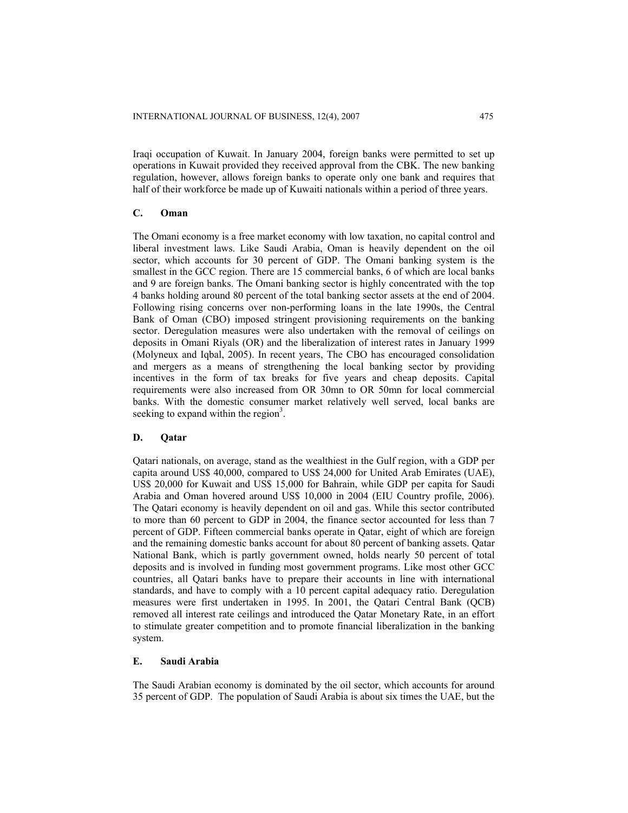Iraqi occupation of Kuwait. In January 2004, foreign banks were permitted to set up operations in Kuwait provided they received approval from the CBK. The new banking regulation, however, allows foreign banks to operate only one bank and requires that half of their workforce be made up of Kuwaiti nationals within a period of three years.

# **C. Oman**

The Omani economy is a free market economy with low taxation, no capital control and liberal investment laws. Like Saudi Arabia, Oman is heavily dependent on the oil sector, which accounts for 30 percent of GDP. The Omani banking system is the smallest in the GCC region. There are 15 commercial banks, 6 of which are local banks and 9 are foreign banks. The Omani banking sector is highly concentrated with the top 4 banks holding around 80 percent of the total banking sector assets at the end of 2004. Following rising concerns over non-performing loans in the late 1990s, the Central Bank of Oman (CBO) imposed stringent provisioning requirements on the banking sector. Deregulation measures were also undertaken with the removal of ceilings on deposits in Omani Riyals (OR) and the liberalization of interest rates in January 1999 (Molyneux and Iqbal, 2005). In recent years, The CBO has encouraged consolidation and mergers as a means of strengthening the local banking sector by providing incentives in the form of tax breaks for five years and cheap deposits. Capital requirements were also increased from OR 30mn to OR 50mn for local commercial banks. With the domestic consumer market relatively well served, local banks are seeking to expand within the region<sup>3</sup>.

## **D. Qatar**

Qatari nationals, on average, stand as the wealthiest in the Gulf region, with a GDP per capita around US\$ 40,000, compared to US\$ 24,000 for United Arab Emirates (UAE), US\$ 20,000 for Kuwait and US\$ 15,000 for Bahrain, while GDP per capita for Saudi Arabia and Oman hovered around US\$ 10,000 in 2004 (EIU Country profile, 2006). The Qatari economy is heavily dependent on oil and gas. While this sector contributed to more than 60 percent to GDP in 2004, the finance sector accounted for less than 7 percent of GDP. Fifteen commercial banks operate in Qatar, eight of which are foreign and the remaining domestic banks account for about 80 percent of banking assets. Qatar National Bank, which is partly government owned, holds nearly 50 percent of total deposits and is involved in funding most government programs. Like most other GCC countries, all Qatari banks have to prepare their accounts in line with international standards, and have to comply with a 10 percent capital adequacy ratio. Deregulation measures were first undertaken in 1995. In 2001, the Qatari Central Bank (QCB) removed all interest rate ceilings and introduced the Qatar Monetary Rate, in an effort to stimulate greater competition and to promote financial liberalization in the banking system.

# **E. Saudi Arabia**

The Saudi Arabian economy is dominated by the oil sector, which accounts for around 35 percent of GDP. The population of Saudi Arabia is about six times the UAE, but the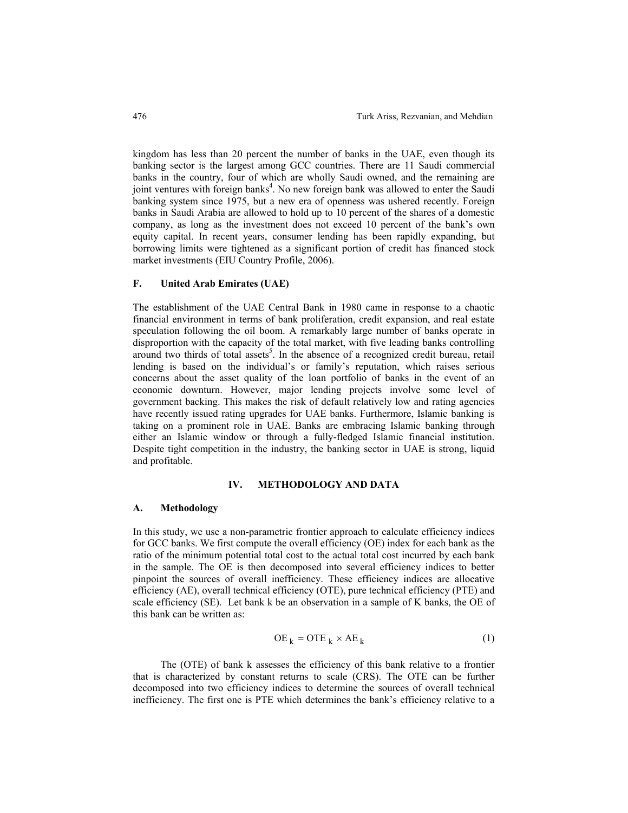kingdom has less than 20 percent the number of banks in the UAE, even though its banking sector is the largest among GCC countries. There are 11 Saudi commercial banks in the country, four of which are wholly Saudi owned, and the remaining are joint ventures with foreign banks<sup>4</sup>. No new foreign bank was allowed to enter the Saudi banking system since 1975, but a new era of openness was ushered recently. Foreign banks in Saudi Arabia are allowed to hold up to 10 percent of the shares of a domestic company, as long as the investment does not exceed 10 percent of the bank's own equity capital. In recent years, consumer lending has been rapidly expanding, but borrowing limits were tightened as a significant portion of credit has financed stock market investments (EIU Country Profile, 2006).

#### **F. United Arab Emirates (UAE)**

The establishment of the UAE Central Bank in 1980 came in response to a chaotic financial environment in terms of bank proliferation, credit expansion, and real estate speculation following the oil boom. A remarkably large number of banks operate in disproportion with the capacity of the total market, with five leading banks controlling around two thirds of total assets<sup>5</sup>. In the absence of a recognized credit bureau, retail lending is based on the individual's or family's reputation, which raises serious concerns about the asset quality of the loan portfolio of banks in the event of an economic downturn. However, major lending projects involve some level of government backing. This makes the risk of default relatively low and rating agencies have recently issued rating upgrades for UAE banks. Furthermore, Islamic banking is taking on a prominent role in UAE. Banks are embracing Islamic banking through either an Islamic window or through a fully-fledged Islamic financial institution. Despite tight competition in the industry, the banking sector in UAE is strong, liquid and profitable.

#### **IV. METHODOLOGY AND DATA**

#### **A. Methodology**

In this study, we use a non-parametric frontier approach to calculate efficiency indices for GCC banks. We first compute the overall efficiency (OE) index for each bank as the ratio of the minimum potential total cost to the actual total cost incurred by each bank in the sample. The OE is then decomposed into several efficiency indices to better pinpoint the sources of overall inefficiency. These efficiency indices are allocative efficiency (AE), overall technical efficiency (OTE), pure technical efficiency (PTE) and scale efficiency (SE). Let bank k be an observation in a sample of K banks, the OE of this bank can be written as:

$$
OE_k = OTE_k \times AE_k
$$
 (1)

The (OTE) of bank k assesses the efficiency of this bank relative to a frontier that is characterized by constant returns to scale (CRS). The OTE can be further decomposed into two efficiency indices to determine the sources of overall technical inefficiency. The first one is PTE which determines the bank's efficiency relative to a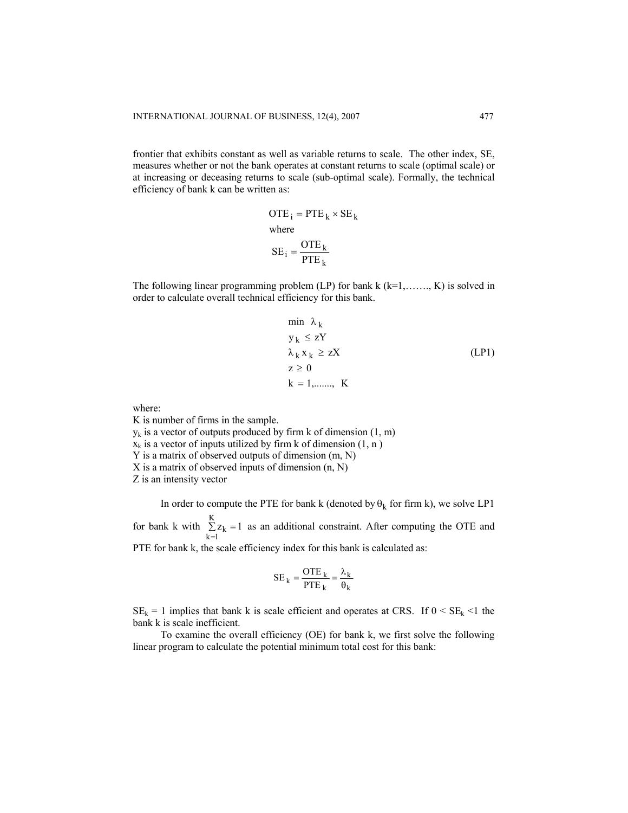frontier that exhibits constant as well as variable returns to scale. The other index, SE, measures whether or not the bank operates at constant returns to scale (optimal scale) or at increasing or deceasing returns to scale (sub-optimal scale). Formally, the technical efficiency of bank k can be written as:

> k  $SE_i = \frac{OTE_k}{PTE_k}$  $\overline{OTE}_i = \overline{PTE}_k \times \overline{SE}_k$ where

The following linear programming problem  $(L)$  for bank k  $(k=1, \ldots, K)$  is solved in order to calculate overall technical efficiency for this bank.

$$
\min \lambda_k
$$
\n
$$
y_k \leq zY
$$
\n
$$
\lambda_k x_k \geq zX
$$
\n
$$
z \geq 0
$$
\n
$$
k = 1, \dots, K
$$
\n(LP1)

where:

K is number of firms in the sample.

 $y_k$  is a vector of outputs produced by firm k of dimension  $(1, m)$ 

 $x_k$  is a vector of inputs utilized by firm k of dimension  $(1, n)$ 

Y is a matrix of observed outputs of dimension (m, N)

X is a matrix of observed inputs of dimension (n, N)

Z is an intensity vector

In order to compute the PTE for bank k (denoted by  $\theta_k$  for firm k), we solve LP1 for bank k with  $\sum_{k=1}^{K} z_k = 1$  as an additional constraint. After computing the OTE and  $\sum_{k=1} z_k =$ 

PTE for bank k, the scale efficiency index for this bank is calculated as:

$$
SE_k = \frac{OTE_k}{PTE_k} = \frac{\lambda_k}{\theta_k}
$$

 $SE_k = 1$  implies that bank k is scale efficient and operates at CRS. If  $0 < SE_k < 1$  the bank k is scale inefficient.

To examine the overall efficiency (OE) for bank k, we first solve the following linear program to calculate the potential minimum total cost for this bank: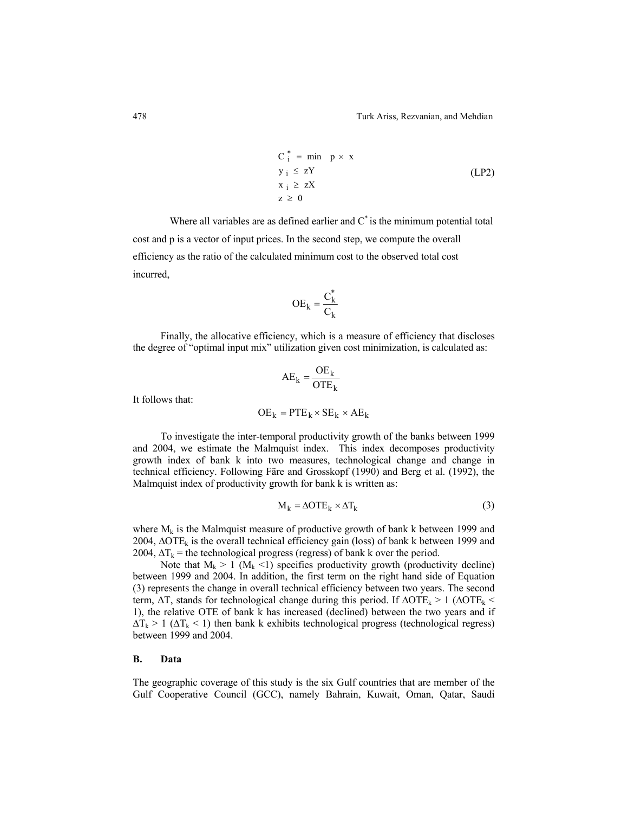$$
C_i^* = \min p \times x
$$
  
\n
$$
y_i \le zY
$$
  
\n
$$
x_i \ge zX
$$
  
\n
$$
z \ge 0
$$
  
\n(LP2)

Where all variables are as defined earlier and  $C^*$  is the minimum potential total cost and p is a vector of input prices. In the second step, we compute the overall efficiency as the ratio of the calculated minimum cost to the observed total cost incurred,

$$
OE_k = \frac{C_k^*}{C_k}
$$

Finally, the allocative efficiency, which is a measure of efficiency that discloses the degree of "optimal input mix" utilization given cost minimization, is calculated as:

$$
AE_k = \frac{OE_k}{OTE_k}
$$

It follows that:

$$
OE_k = PTE_k \times SE_k \times AE_k
$$

To investigate the inter-temporal productivity growth of the banks between 1999 and 2004, we estimate the Malmquist index. This index decomposes productivity growth index of bank k into two measures, technological change and change in technical efficiency. Following Färe and Grosskopf (1990) and Berg et al. (1992), the Malmquist index of productivity growth for bank k is written as:

$$
M_k = \Delta OTE_k \times \Delta T_k \tag{3}
$$

where  $M_k$  is the Malmquist measure of productive growth of bank k between 1999 and 2004, ∆OTE<sub>k</sub> is the overall technical efficiency gain (loss) of bank k between 1999 and 2004,  $\Delta T_k$  = the technological progress (regress) of bank k over the period.

Note that  $M_k > 1$  ( $M_k < 1$ ) specifies productivity growth (productivity decline) between 1999 and 2004. In addition, the first term on the right hand side of Equation (3) represents the change in overall technical efficiency between two years. The second term,  $\Delta T$ , stands for technological change during this period. If  $\Delta OTE_k > 1$  ( $\Delta OTE_k <$ 1), the relative OTE of bank k has increased (declined) between the two years and if  $\Delta T_k > 1$  ( $\Delta T_k < 1$ ) then bank k exhibits technological progress (technological regress) between 1999 and 2004.

# **B. Data**

The geographic coverage of this study is the six Gulf countries that are member of the Gulf Cooperative Council (GCC), namely Bahrain, Kuwait, Oman, Qatar, Saudi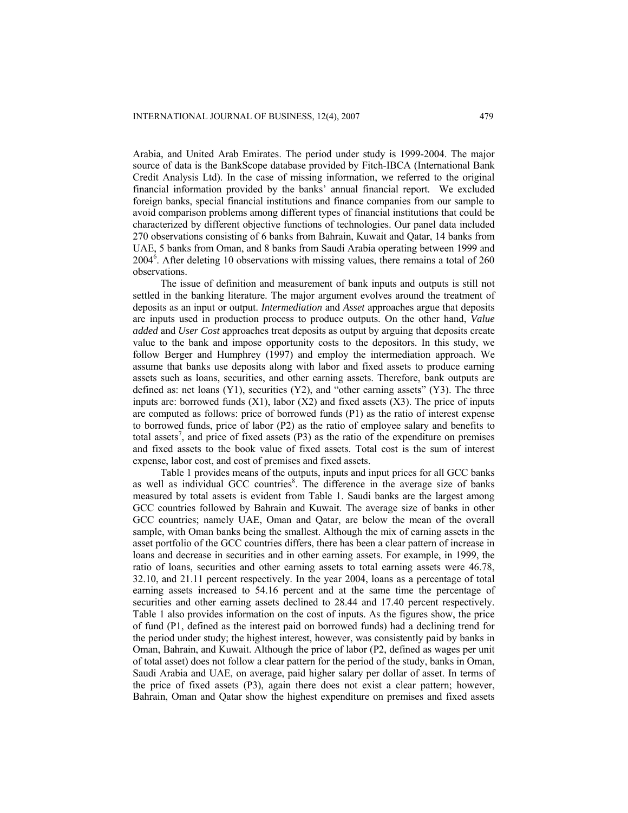Arabia, and United Arab Emirates. The period under study is 1999-2004. The major source of data is the BankScope database provided by Fitch-IBCA (International Bank Credit Analysis Ltd). In the case of missing information, we referred to the original financial information provided by the banks' annual financial report. We excluded foreign banks, special financial institutions and finance companies from our sample to avoid comparison problems among different types of financial institutions that could be characterized by different objective functions of technologies. Our panel data included 270 observations consisting of 6 banks from Bahrain, Kuwait and Qatar, 14 banks from UAE, 5 banks from Oman, and 8 banks from Saudi Arabia operating between 1999 and 20046 . After deleting 10 observations with missing values, there remains a total of 260 observations.

The issue of definition and measurement of bank inputs and outputs is still not settled in the banking literature. The major argument evolves around the treatment of deposits as an input or output. *Intermediation* and *Asset* approaches argue that deposits are inputs used in production process to produce outputs. On the other hand, *Value added* and *User Cost* approaches treat deposits as output by arguing that deposits create value to the bank and impose opportunity costs to the depositors. In this study, we follow Berger and Humphrey (1997) and employ the intermediation approach. We assume that banks use deposits along with labor and fixed assets to produce earning assets such as loans, securities, and other earning assets. Therefore, bank outputs are defined as: net loans (Y1), securities (Y2), and "other earning assets" (Y3). The three inputs are: borrowed funds  $(X1)$ , labor  $(X2)$  and fixed assets  $(X3)$ . The price of inputs are computed as follows: price of borrowed funds (P1) as the ratio of interest expense to borrowed funds, price of labor (P2) as the ratio of employee salary and benefits to total assets<sup>7</sup>, and price of fixed assets (P3) as the ratio of the expenditure on premises and fixed assets to the book value of fixed assets. Total cost is the sum of interest expense, labor cost, and cost of premises and fixed assets.

Table 1 provides means of the outputs, inputs and input prices for all GCC banks as well as individual GCC countries<sup>8</sup>. The difference in the average size of banks measured by total assets is evident from Table 1. Saudi banks are the largest among GCC countries followed by Bahrain and Kuwait. The average size of banks in other GCC countries; namely UAE, Oman and Qatar, are below the mean of the overall sample, with Oman banks being the smallest. Although the mix of earning assets in the asset portfolio of the GCC countries differs, there has been a clear pattern of increase in loans and decrease in securities and in other earning assets. For example, in 1999, the ratio of loans, securities and other earning assets to total earning assets were 46.78, 32.10, and 21.11 percent respectively. In the year 2004, loans as a percentage of total earning assets increased to 54.16 percent and at the same time the percentage of securities and other earning assets declined to 28.44 and 17.40 percent respectively. Table 1 also provides information on the cost of inputs. As the figures show, the price of fund (P1, defined as the interest paid on borrowed funds) had a declining trend for the period under study; the highest interest, however, was consistently paid by banks in Oman, Bahrain, and Kuwait. Although the price of labor (P2, defined as wages per unit of total asset) does not follow a clear pattern for the period of the study, banks in Oman, Saudi Arabia and UAE, on average, paid higher salary per dollar of asset. In terms of the price of fixed assets (P3), again there does not exist a clear pattern; however, Bahrain, Oman and Qatar show the highest expenditure on premises and fixed assets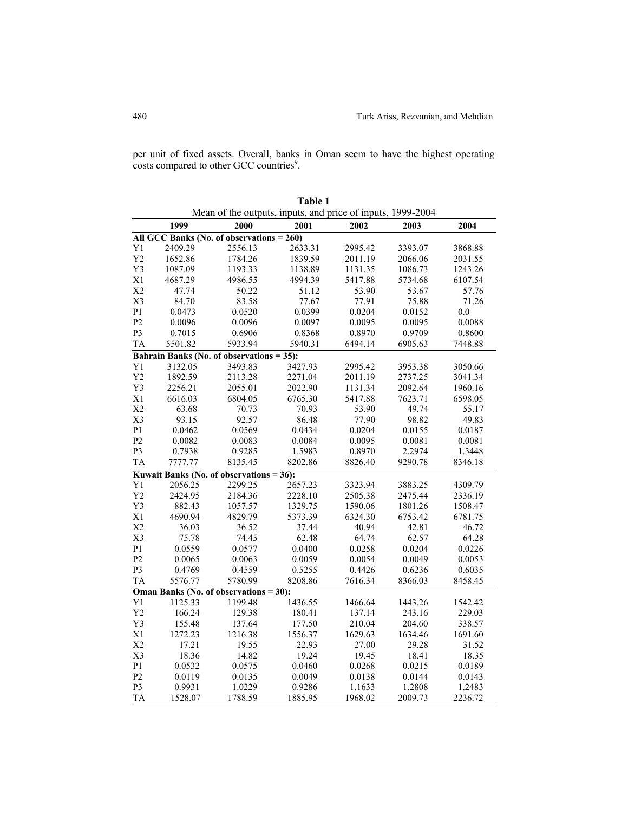per unit of fixed assets. Overall, banks in Oman seem to have the highest operating costs compared to other GCC countries<sup>9</sup>.

|                |                                              |         | Table 1                                                     |         |         |         |
|----------------|----------------------------------------------|---------|-------------------------------------------------------------|---------|---------|---------|
|                |                                              |         | Mean of the outputs, inputs, and price of inputs, 1999-2004 |         |         |         |
|                | 1999                                         | 2000    | 2001                                                        | 2002    | 2003    | 2004    |
|                | All GCC Banks (No. of observations $= 260$ ) |         |                                                             |         |         |         |
| Y1             | 2409.29                                      | 2556.13 | 2633.31                                                     | 2995.42 | 3393.07 | 3868.88 |
| Y2             | 1652.86                                      | 1784.26 | 1839.59                                                     | 2011.19 | 2066.06 | 2031.55 |
| Y3             | 1087.09                                      | 1193.33 | 1138.89                                                     | 1131.35 | 1086.73 | 1243.26 |
| X1             | 4687.29                                      | 4986.55 | 4994.39                                                     | 5417.88 | 5734.68 | 6107.54 |
| X <sub>2</sub> | 47.74                                        | 50.22   | 51.12                                                       | 53.90   | 53.67   | 57.76   |
| X3             | 84.70                                        | 83.58   | 77.67                                                       | 77.91   | 75.88   | 71.26   |
| P <sub>1</sub> | 0.0473                                       | 0.0520  | 0.0399                                                      | 0.0204  | 0.0152  | 0.0     |
| P <sub>2</sub> | 0.0096                                       | 0.0096  | 0.0097                                                      | 0.0095  | 0.0095  | 0.0088  |
| P3             | 0.7015                                       | 0.6906  | 0.8368                                                      | 0.8970  | 0.9709  | 0.8600  |
| <b>TA</b>      | 5501.82                                      | 5933.94 | 5940.31                                                     | 6494.14 | 6905.63 | 7448.88 |
|                | Bahrain Banks (No. of observations = 35):    |         |                                                             |         |         |         |
| Y1             | 3132.05                                      | 3493.83 | 3427.93                                                     | 2995.42 | 3953.38 | 3050.66 |
| Y <sub>2</sub> | 1892.59                                      | 2113.28 | 2271.04                                                     | 2011.19 | 2737.25 | 3041.34 |
| Y3             | 2256.21                                      | 2055.01 | 2022.90                                                     | 1131.34 | 2092.64 | 1960.16 |
| X1             | 6616.03                                      | 6804.05 | 6765.30                                                     | 5417.88 | 7623.71 | 6598.05 |
| X2             | 63.68                                        | 70.73   | 70.93                                                       | 53.90   | 49.74   | 55.17   |
| X3             | 93.15                                        | 92.57   | 86.48                                                       | 77.90   | 98.82   | 49.83   |
| P <sub>1</sub> | 0.0462                                       | 0.0569  | 0.0434                                                      | 0.0204  | 0.0155  | 0.0187  |
| P <sub>2</sub> | 0.0082                                       | 0.0083  | 0.0084                                                      | 0.0095  | 0.0081  | 0.0081  |
| P <sub>3</sub> | 0.7938                                       | 0.9285  | 1.5983                                                      | 0.8970  | 2.2974  | 1.3448  |
| <b>TA</b>      | 7777.77                                      | 8135.45 | 8202.86                                                     | 8826.40 | 9290.78 | 8346.18 |
|                | Kuwait Banks (No. of observations = $36$ ):  |         |                                                             |         |         |         |
| Y1             | 2056.25                                      | 2299.25 | 2657.23                                                     | 3323.94 | 3883.25 | 4309.79 |
| Y <sub>2</sub> | 2424.95                                      | 2184.36 | 2228.10                                                     | 2505.38 | 2475.44 | 2336.19 |
| Y3             | 882.43                                       | 1057.57 | 1329.75                                                     | 1590.06 | 1801.26 | 1508.47 |
| X1             | 4690.94                                      | 4829.79 | 5373.39                                                     | 6324.30 | 6753.42 | 6781.75 |
| X <sub>2</sub> | 36.03                                        | 36.52   | 37.44                                                       | 40.94   | 42.81   | 46.72   |
| X3             | 75.78                                        | 74.45   | 62.48                                                       | 64.74   | 62.57   | 64.28   |
| P <sub>1</sub> | 0.0559                                       | 0.0577  | 0.0400                                                      | 0.0258  | 0.0204  | 0.0226  |
| P <sub>2</sub> | 0.0065                                       | 0.0063  | 0.0059                                                      | 0.0054  | 0.0049  | 0.0053  |
| P <sub>3</sub> | 0.4769                                       | 0.4559  | 0.5255                                                      | 0.4426  | 0.6236  | 0.6035  |
| <b>TA</b>      | 5576.77                                      | 5780.99 | 8208.86                                                     | 7616.34 | 8366.03 | 8458.45 |
|                | Oman Banks (No. of observations = 30):       |         |                                                             |         |         |         |
| Y1             | 1125.33                                      | 1199.48 | 1436.55                                                     | 1466.64 | 1443.26 | 1542.42 |
| Y <sub>2</sub> | 166.24                                       | 129.38  | 180.41                                                      | 137.14  | 243.16  | 229.03  |
| Y3             | 155.48                                       | 137.64  | 177.50                                                      | 210.04  | 204.60  | 338.57  |
| X1             | 1272.23                                      | 1216.38 | 1556.37                                                     | 1629.63 | 1634.46 | 1691.60 |
| X <sub>2</sub> | 17.21                                        | 19.55   | 22.93                                                       | 27.00   | 29.28   | 31.52   |
| X3             | 18.36                                        | 14.82   | 19.24                                                       | 19.45   | 18.41   | 18.35   |
| P <sub>1</sub> | 0.0532                                       | 0.0575  | 0.0460                                                      | 0.0268  | 0.0215  | 0.0189  |
| P <sub>2</sub> | 0.0119                                       | 0.0135  | 0.0049                                                      | 0.0138  | 0.0144  | 0.0143  |
| P3             | 0.9931                                       | 1.0229  | 0.9286                                                      | 1.1633  | 1.2808  | 1.2483  |
| <b>TA</b>      | 1528.07                                      | 1788.59 | 1885.95                                                     | 1968.02 | 2009.73 | 2236.72 |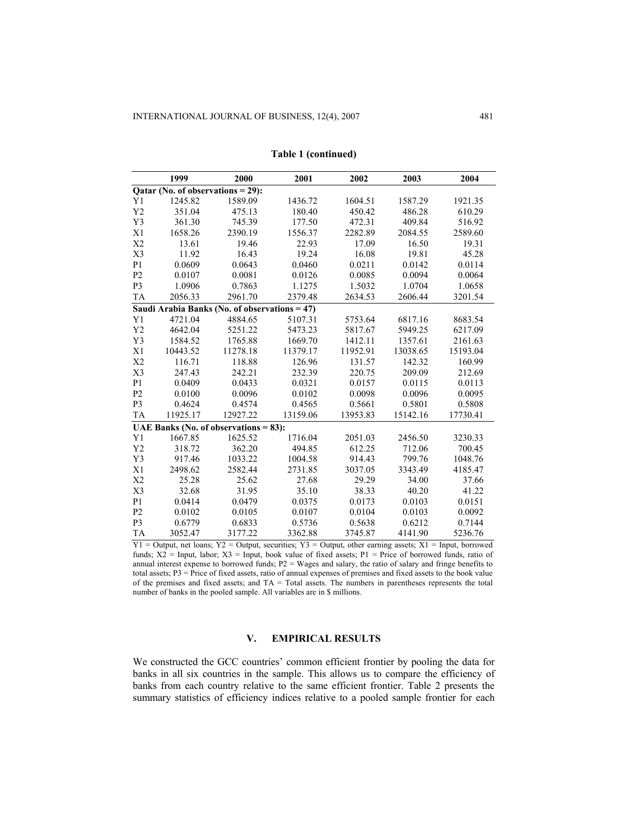|                | 1999                                          | 2000     | 2001     | 2002     | 2003     | 2004     |
|----------------|-----------------------------------------------|----------|----------|----------|----------|----------|
|                | Qatar (No. of observations = 29):             |          |          |          |          |          |
| Y1             | 1245.82                                       | 1589.09  | 1436.72  | 1604.51  | 1587.29  | 1921.35  |
| Y2             | 351.04                                        | 475.13   | 180.40   | 450.42   | 486.28   | 610.29   |
| Y3             | 361.30                                        | 745.39   | 177.50   | 472.31   | 409.84   | 516.92   |
| X1             | 1658.26                                       | 2390.19  | 1556.37  | 2282.89  | 2084.55  | 2589.60  |
| X2             | 13.61                                         | 19.46    | 22.93    | 17.09    | 16.50    | 19.31    |
| X3             | 11.92                                         | 16.43    | 19.24    | 16.08    | 19.81    | 45.28    |
| P <sub>1</sub> | 0.0609                                        | 0.0643   | 0.0460   | 0.0211   | 0.0142   | 0.0114   |
| P <sub>2</sub> | 0.0107                                        | 0.0081   | 0.0126   | 0.0085   | 0.0094   | 0.0064   |
| P <sub>3</sub> | 1.0906                                        | 0.7863   | 1.1275   | 1.5032   | 1.0704   | 1.0658   |
| <b>TA</b>      | 2056.33                                       | 2961.70  | 2379.48  | 2634.53  | 2606.44  | 3201.54  |
|                | Saudi Arabia Banks (No. of observations = 47) |          |          |          |          |          |
| Y <sub>1</sub> | 4721.04                                       | 4884.65  | 5107.31  | 5753.64  | 6817.16  | 8683.54  |
| Y2             | 4642.04                                       | 5251.22  | 5473.23  | 5817.67  | 5949.25  | 6217.09  |
| Y3             | 1584.52                                       | 1765.88  | 1669.70  | 1412.11  | 1357.61  | 2161.63  |
| X1             | 10443.52                                      | 11278.18 | 11379.17 | 11952.91 | 13038.65 | 15193.04 |
| X <sub>2</sub> | 116.71                                        | 118.88   | 126.96   | 131.57   | 142.32   | 160.99   |
| X3             | 247.43                                        | 242.21   | 232.39   | 220.75   | 209.09   | 212.69   |
| P <sub>1</sub> | 0.0409                                        | 0.0433   | 0.0321   | 0.0157   | 0.0115   | 0.0113   |
| P <sub>2</sub> | 0.0100                                        | 0.0096   | 0.0102   | 0.0098   | 0.0096   | 0.0095   |
| P <sub>3</sub> | 0.4624                                        | 0.4574   | 0.4565   | 0.5661   | 0.5801   | 0.5808   |
| <b>TA</b>      | 11925.17                                      | 12927.22 | 13159.06 | 13953.83 | 15142.16 | 17730.41 |
|                | UAE Banks (No. of observations $= 83$ ):      |          |          |          |          |          |
| Y <sub>1</sub> | 1667.85                                       | 1625.52  | 1716.04  | 2051.03  | 2456.50  | 3230.33  |
| Y2             | 318.72                                        | 362.20   | 494.85   | 612.25   | 712.06   | 700.45   |
| Y3             | 917.46                                        | 1033.22  | 1004.58  | 914.43   | 799.76   | 1048.76  |
| X1             | 2498.62                                       | 2582.44  | 2731.85  | 3037.05  | 3343.49  | 4185.47  |
| X <sub>2</sub> | 25.28                                         | 25.62    | 27.68    | 29.29    | 34.00    | 37.66    |
| X3             | 32.68                                         | 31.95    | 35.10    | 38.33    | 40.20    | 41.22    |
| P <sub>1</sub> | 0.0414                                        | 0.0479   | 0.0375   | 0.0173   | 0.0103   | 0.0151   |
| P <sub>2</sub> | 0.0102                                        | 0.0105   | 0.0107   | 0.0104   | 0.0103   | 0.0092   |
| P <sub>3</sub> | 0.6779                                        | 0.6833   | 0.5736   | 0.5638   | 0.6212   | 0.7144   |
| <b>TA</b>      | 3052.47                                       | 3177.22  | 3362.88  | 3745.87  | 4141.90  | 5236.76  |

|  | Table 1 (continued) |
|--|---------------------|
|--|---------------------|

 $Y1 =$  Output, net loans;  $Y2 =$  Output, securities;  $Y3 =$  Output, other earning assets;  $X1 =$  Input, borrowed funds;  $X2 = Input$ , labor;  $X3 = Input$ , book value of fixed assets;  $P1 = Price$  of borrowed funds, ratio of annual interest expense to borrowed funds; P2 = Wages and salary, the ratio of salary and fringe benefits to total assets; P3 = Price of fixed assets, ratio of annual expenses of premises and fixed assets to the book value of the premises and fixed assets; and  $TA = Total$  assets. The numbers in parentheses represents the total number of banks in the pooled sample. All variables are in \$ millions.

# **V. EMPIRICAL RESULTS**

We constructed the GCC countries' common efficient frontier by pooling the data for banks in all six countries in the sample. This allows us to compare the efficiency of banks from each country relative to the same efficient frontier. Table 2 presents the summary statistics of efficiency indices relative to a pooled sample frontier for each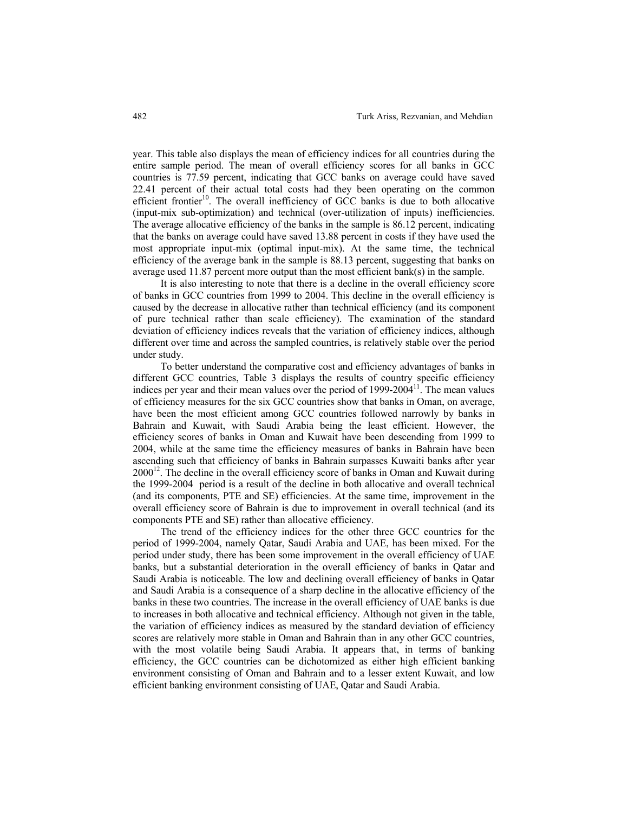year. This table also displays the mean of efficiency indices for all countries during the entire sample period. The mean of overall efficiency scores for all banks in GCC countries is 77.59 percent, indicating that GCC banks on average could have saved 22.41 percent of their actual total costs had they been operating on the common efficient frontier<sup>10</sup>. The overall inefficiency of GCC banks is due to both allocative (input-mix sub-optimization) and technical (over-utilization of inputs) inefficiencies. The average allocative efficiency of the banks in the sample is 86.12 percent, indicating that the banks on average could have saved 13.88 percent in costs if they have used the most appropriate input-mix (optimal input-mix). At the same time, the technical efficiency of the average bank in the sample is 88.13 percent, suggesting that banks on average used 11.87 percent more output than the most efficient bank(s) in the sample.

It is also interesting to note that there is a decline in the overall efficiency score of banks in GCC countries from 1999 to 2004. This decline in the overall efficiency is caused by the decrease in allocative rather than technical efficiency (and its component of pure technical rather than scale efficiency). The examination of the standard deviation of efficiency indices reveals that the variation of efficiency indices, although different over time and across the sampled countries, is relatively stable over the period under study.

To better understand the comparative cost and efficiency advantages of banks in different GCC countries, Table 3 displays the results of country specific efficiency indices per year and their mean values over the period of 1999-2004<sup>11</sup>. The mean values of efficiency measures for the six GCC countries show that banks in Oman, on average, have been the most efficient among GCC countries followed narrowly by banks in Bahrain and Kuwait, with Saudi Arabia being the least efficient. However, the efficiency scores of banks in Oman and Kuwait have been descending from 1999 to 2004, while at the same time the efficiency measures of banks in Bahrain have been ascending such that efficiency of banks in Bahrain surpasses Kuwaiti banks after year  $2000^{12}$ . The decline in the overall efficiency score of banks in Oman and Kuwait during the 1999-2004 period is a result of the decline in both allocative and overall technical (and its components, PTE and SE) efficiencies. At the same time, improvement in the overall efficiency score of Bahrain is due to improvement in overall technical (and its components PTE and SE) rather than allocative efficiency.

The trend of the efficiency indices for the other three GCC countries for the period of 1999-2004, namely Qatar, Saudi Arabia and UAE, has been mixed. For the period under study, there has been some improvement in the overall efficiency of UAE banks, but a substantial deterioration in the overall efficiency of banks in Qatar and Saudi Arabia is noticeable. The low and declining overall efficiency of banks in Qatar and Saudi Arabia is a consequence of a sharp decline in the allocative efficiency of the banks in these two countries. The increase in the overall efficiency of UAE banks is due to increases in both allocative and technical efficiency. Although not given in the table, the variation of efficiency indices as measured by the standard deviation of efficiency scores are relatively more stable in Oman and Bahrain than in any other GCC countries, with the most volatile being Saudi Arabia. It appears that, in terms of banking efficiency, the GCC countries can be dichotomized as either high efficient banking environment consisting of Oman and Bahrain and to a lesser extent Kuwait, and low efficient banking environment consisting of UAE, Qatar and Saudi Arabia.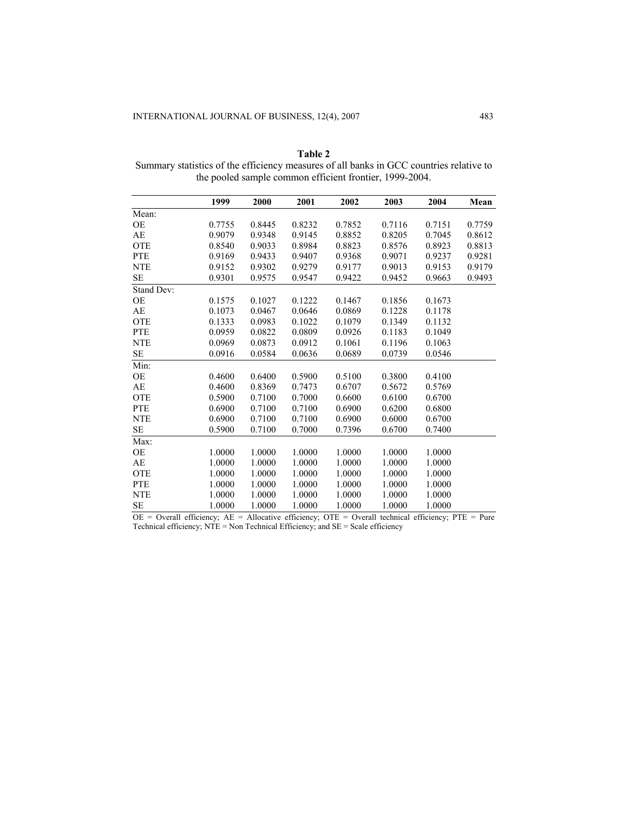|            | 1999   | 2000   | 2001   | 2002   | 2003   | 2004   | Mean   |
|------------|--------|--------|--------|--------|--------|--------|--------|
| Mean:      |        |        |        |        |        |        |        |
| OE         | 0.7755 | 0.8445 | 0.8232 | 0.7852 | 0.7116 | 0.7151 | 0.7759 |
| AE         | 0.9079 | 0.9348 | 0.9145 | 0.8852 | 0.8205 | 0.7045 | 0.8612 |
| <b>OTE</b> | 0.8540 | 0.9033 | 0.8984 | 0.8823 | 0.8576 | 0.8923 | 0.8813 |
| <b>PTE</b> | 0.9169 | 0.9433 | 0.9407 | 0.9368 | 0.9071 | 0.9237 | 0.9281 |
| <b>NTE</b> | 0.9152 | 0.9302 | 0.9279 | 0.9177 | 0.9013 | 0.9153 | 0.9179 |
| <b>SE</b>  | 0.9301 | 0.9575 | 0.9547 | 0.9422 | 0.9452 | 0.9663 | 0.9493 |
| Stand Dev: |        |        |        |        |        |        |        |
| <b>OE</b>  | 0.1575 | 0.1027 | 0.1222 | 0.1467 | 0.1856 | 0.1673 |        |
| AE         | 0.1073 | 0.0467 | 0.0646 | 0.0869 | 0.1228 | 0.1178 |        |
| <b>OTE</b> | 0.1333 | 0.0983 | 0.1022 | 0.1079 | 0.1349 | 0.1132 |        |
| <b>PTE</b> | 0.0959 | 0.0822 | 0.0809 | 0.0926 | 0.1183 | 0.1049 |        |
| <b>NTE</b> | 0.0969 | 0.0873 | 0.0912 | 0.1061 | 0.1196 | 0.1063 |        |
| <b>SE</b>  | 0.0916 | 0.0584 | 0.0636 | 0.0689 | 0.0739 | 0.0546 |        |
| Min:       |        |        |        |        |        |        |        |
| <b>OE</b>  | 0.4600 | 0.6400 | 0.5900 | 0.5100 | 0.3800 | 0.4100 |        |
| AE         | 0.4600 | 0.8369 | 0.7473 | 0.6707 | 0.5672 | 0.5769 |        |
| <b>OTE</b> | 0.5900 | 0.7100 | 0.7000 | 0.6600 | 0.6100 | 0.6700 |        |
| <b>PTE</b> | 0.6900 | 0.7100 | 0.7100 | 0.6900 | 0.6200 | 0.6800 |        |
| <b>NTE</b> | 0.6900 | 0.7100 | 0.7100 | 0.6900 | 0.6000 | 0.6700 |        |
| SЕ         | 0.5900 | 0.7100 | 0.7000 | 0.7396 | 0.6700 | 0.7400 |        |
| Max:       |        |        |        |        |        |        |        |
| OE         | 1.0000 | 1.0000 | 1.0000 | 1.0000 | 1.0000 | 1.0000 |        |
| AE         | 1.0000 | 1.0000 | 1.0000 | 1.0000 | 1.0000 | 1.0000 |        |
| <b>OTE</b> | 1.0000 | 1.0000 | 1.0000 | 1.0000 | 1.0000 | 1.0000 |        |
| <b>PTE</b> | 1.0000 | 1.0000 | 1.0000 | 1.0000 | 1.0000 | 1.0000 |        |
| <b>NTE</b> | 1.0000 | 1.0000 | 1.0000 | 1.0000 | 1.0000 | 1.0000 |        |
| <b>SE</b>  | 1.0000 | 1.0000 | 1.0000 | 1.0000 | 1.0000 | 1.0000 |        |

**Table 2**  Summary statistics of the efficiency measures of all banks in GCC countries relative to the pooled sample common efficient frontier, 1999-2004.

 $OE =$  Overall efficiency;  $AE =$  Allocative efficiency;  $OTE =$  Overall technical efficiency;  $PTE =$  Pure Technical efficiency; NTE = Non Technical Efficiency; and SE = Scale efficiency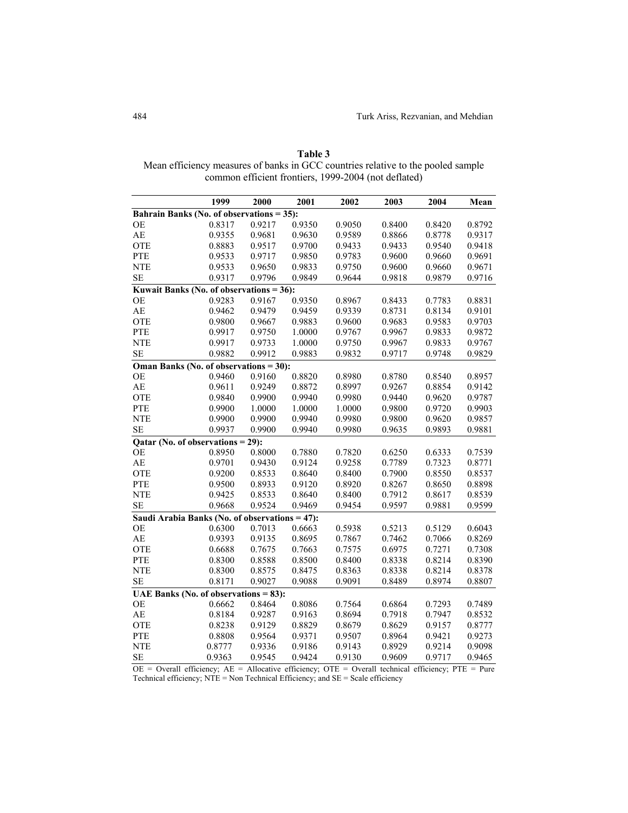| Table 3                                                                          |
|----------------------------------------------------------------------------------|
| Mean efficiency measures of banks in GCC countries relative to the pooled sample |
| common efficient frontiers, 1999-2004 (not deflated)                             |

|                                                | 1999   | 2000              | 2001   | 2002   | 2003   | 2004   | Mean   |
|------------------------------------------------|--------|-------------------|--------|--------|--------|--------|--------|
| Bahrain Banks (No. of observations = 35):      |        |                   |        |        |        |        |        |
| OE                                             | 0.8317 | 0.9217            | 0.9350 | 0.9050 | 0.8400 | 0.8420 | 0.8792 |
| AE                                             | 0.9355 | 0.9681            | 0.9630 | 0.9589 | 0.8866 | 0.8778 | 0.9317 |
| OTE                                            | 0.8883 | 0.9517            | 0.9700 | 0.9433 | 0.9433 | 0.9540 | 0.9418 |
| <b>PTE</b>                                     | 0.9533 | 0.9717            | 0.9850 | 0.9783 | 0.9600 | 0.9660 | 0.9691 |
| <b>NTE</b>                                     | 0.9533 | 0.9650            | 0.9833 | 0.9750 | 0.9600 | 0.9660 | 0.9671 |
| SE                                             | 0.9317 | 0.9796            | 0.9849 | 0.9644 | 0.9818 | 0.9879 | 0.9716 |
| Kuwait Banks (No. of observations = 36):       |        |                   |        |        |        |        |        |
| OE                                             | 0.9283 | 0.9167            | 0.9350 | 0.8967 | 0.8433 | 0.7783 | 0.8831 |
| AE                                             | 0.9462 | 0.9479            | 0.9459 | 0.9339 | 0.8731 | 0.8134 | 0.9101 |
| OTE                                            | 0.9800 | 0.9667            | 0.9883 | 0.9600 | 0.9683 | 0.9583 | 0.9703 |
| <b>PTE</b>                                     | 0.9917 | 0.9750            | 1.0000 | 0.9767 | 0.9967 | 0.9833 | 0.9872 |
| <b>NTE</b>                                     | 0.9917 | 0.9733            | 1.0000 | 0.9750 | 0.9967 | 0.9833 | 0.9767 |
| SE                                             | 0.9882 | 0.9912            | 0.9883 | 0.9832 | 0.9717 | 0.9748 | 0.9829 |
| Oman Banks (No. of observations = $30$ ):      |        |                   |        |        |        |        |        |
| <b>OE</b>                                      | 0.9460 | 0.9160            | 0.8820 | 0.8980 | 0.8780 | 0.8540 | 0.8957 |
| AE                                             | 0.9611 | 0.9249            | 0.8872 | 0.8997 | 0.9267 | 0.8854 | 0.9142 |
| OTE                                            | 0.9840 | 0.9900            | 0.9940 | 0.9980 | 0.9440 | 0.9620 | 0.9787 |
| <b>PTE</b>                                     | 0.9900 | 1.0000            | 1.0000 | 1.0000 | 0.9800 | 0.9720 | 0.9903 |
| <b>NTE</b>                                     | 0.9900 | 0.9900            | 0.9940 | 0.9980 | 0.9800 | 0.9620 | 0.9857 |
| SE                                             | 0.9937 | 0.9900            | 0.9940 | 0.9980 | 0.9635 | 0.9893 | 0.9881 |
| Qatar (No. of observations =                   |        | $\overline{29}$ : |        |        |        |        |        |
| OE                                             | 0.8950 | 0.8000            | 0.7880 | 0.7820 | 0.6250 | 0.6333 | 0.7539 |
| AE                                             | 0.9701 | 0.9430            | 0.9124 | 0.9258 | 0.7789 | 0.7323 | 0.8771 |
| OTE                                            | 0.9200 | 0.8533            | 0.8640 | 0.8400 | 0.7900 | 0.8550 | 0.8537 |
| <b>PTE</b>                                     | 0.9500 | 0.8933            | 0.9120 | 0.8920 | 0.8267 | 0.8650 | 0.8898 |
| <b>NTE</b>                                     | 0.9425 | 0.8533            | 0.8640 | 0.8400 | 0.7912 | 0.8617 | 0.8539 |
| <b>SE</b>                                      | 0.9668 | 0.9524            | 0.9469 | 0.9454 | 0.9597 | 0.9881 | 0.9599 |
| Saudi Arabia Banks (No. of observations = 47): |        |                   |        |        |        |        |        |
| <b>OE</b>                                      | 0.6300 | 0.7013            | 0.6663 | 0.5938 | 0.5213 | 0.5129 | 0.6043 |
| AE                                             | 0.9393 | 0.9135            | 0.8695 | 0.7867 | 0.7462 | 0.7066 | 0.8269 |
| OTE                                            | 0.6688 | 0.7675            | 0.7663 | 0.7575 | 0.6975 | 0.7271 | 0.7308 |
| PTE                                            | 0.8300 | 0.8588            | 0.8500 | 0.8400 | 0.8338 | 0.8214 | 0.8390 |
| <b>NTE</b>                                     | 0.8300 | 0.8575            | 0.8475 | 0.8363 | 0.8338 | 0.8214 | 0.8378 |
| SE                                             | 0.8171 | 0.9027            | 0.9088 | 0.9091 | 0.8489 | 0.8974 | 0.8807 |
| UAE Banks (No. of observations = $83$ ):       |        |                   |        |        |        |        |        |
| OE                                             | 0.6662 | 0.8464            | 0.8086 | 0.7564 | 0.6864 | 0.7293 | 0.7489 |
| AE                                             | 0.8184 | 0.9287            | 0.9163 | 0.8694 | 0.7918 | 0.7947 | 0.8532 |
| OTE                                            | 0.8238 | 0.9129            | 0.8829 | 0.8679 | 0.8629 | 0.9157 | 0.8777 |
| PTE                                            | 0.8808 | 0.9564            | 0.9371 | 0.9507 | 0.8964 | 0.9421 | 0.9273 |
| <b>NTE</b>                                     | 0.8777 | 0.9336            | 0.9186 | 0.9143 | 0.8929 | 0.9214 | 0.9098 |
| <b>SE</b>                                      | 0.9363 | 0.9545            | 0.9424 | 0.9130 | 0.9609 | 0.9717 | 0.9465 |

 $OE = Overall$  efficiency;  $AE = Allocative$  efficiency;  $OTE = Overall$  technical efficiency;  $PTE = Pure$ Technical efficiency;  $\overrightarrow{NTE}$  = Non Technical Efficiency; and  $\overrightarrow{SE}$  = Scale efficiency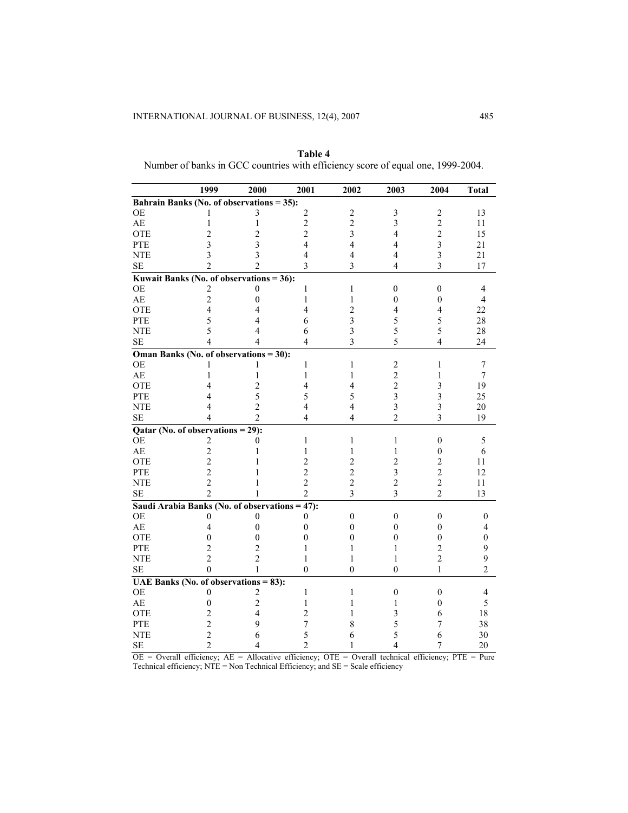|                                                | 1999           | 2000                    | 2001           | 2002                    | 2003                     | 2004                    | <b>Total</b>   |
|------------------------------------------------|----------------|-------------------------|----------------|-------------------------|--------------------------|-------------------------|----------------|
| Bahrain Banks (No. of observations = 35):      |                |                         |                |                         |                          |                         |                |
| OE                                             |                | 3                       | $\sqrt{2}$     | $\overline{c}$          | 3                        | $\overline{c}$          | 13             |
| $\mathbf{A}\mathbf{E}$                         | 1              | $\mathbf{1}$            | $\overline{c}$ | $\overline{c}$          | $\overline{\mathbf{3}}$  | $\overline{2}$          | 11             |
| <b>OTE</b>                                     | $\overline{2}$ | $\overline{c}$          | $\overline{c}$ | 3                       | $\overline{\mathbf{4}}$  | $\overline{c}$          | 15             |
| <b>PTE</b>                                     | 3              | $\overline{\mathbf{3}}$ | $\overline{4}$ | 4                       | 4                        | $\overline{\mathbf{3}}$ | 21             |
| <b>NTE</b>                                     | 3              | $\overline{\mathbf{3}}$ | $\overline{4}$ | $\overline{4}$          | $\overline{\mathbf{4}}$  | $\overline{\mathbf{3}}$ | 21             |
| $\rm SE$                                       | $\mathfrak{D}$ | $\mathfrak{D}$          | 3              | 3                       | $\overline{\mathcal{L}}$ | $\overline{3}$          | 17             |
| Kuwait Banks (No. of observations = $36$ ):    |                |                         |                |                         |                          |                         |                |
| <b>OE</b>                                      | 2              | 0                       | 1              | 1                       | $\overline{0}$           | $\overline{0}$          | $\overline{4}$ |
| $\mathbf{A}\mathbf{E}$                         | $\overline{c}$ | $\overline{0}$          | $\mathbf{1}$   | $\mathbf{1}$            | $\boldsymbol{0}$         | $\boldsymbol{0}$        | $\overline{4}$ |
| <b>OTE</b>                                     | 4              | 4                       | 4              | $\overline{c}$          | 4                        | 4                       | 22             |
| <b>PTE</b>                                     | 5              | 4                       | 6              | $\overline{\mathbf{3}}$ | 5                        | 5                       | 28             |
| <b>NTE</b>                                     | 5              | 4                       | 6              | $\overline{\mathbf{3}}$ | 5                        | 5                       | 28             |
| $\rm SE$                                       | 4              | 4                       | $\overline{4}$ | 3                       | 5                        | $\overline{4}$          | 24             |
| Oman Banks (No. of observations = 30):         |                |                         |                |                         |                          |                         |                |
| <b>OE</b>                                      |                | 1                       | 1              | $\mathbf{1}$            | $\overline{c}$           | 1                       | $\tau$         |
| $\mathbf{A}\mathbf{E}$                         | 1              | 1                       | $\mathbf{1}$   | $\mathbf{1}$            | $\overline{c}$           | 1                       | $\tau$         |
| <b>OTE</b>                                     | 4              | $\overline{c}$          | $\overline{4}$ | 4                       | $\overline{c}$           | 3                       | 19             |
| PTE                                            | 4              | 5                       | 5              | 5                       | $\overline{\mathbf{3}}$  | $\overline{\mathbf{3}}$ | 25             |
| <b>NTE</b>                                     | 4              | $\overline{c}$          | 4              | 4                       | $\overline{\mathbf{3}}$  | $\overline{\mathbf{3}}$ | 20             |
| <b>SE</b>                                      | 4              | $\mathfrak{D}$          | 4              | 4                       | $\overline{2}$           | 3                       | 19             |
| Qatar (No. of observations $= 29$ ):           |                |                         |                |                         |                          |                         |                |
| <b>OE</b>                                      | $\overline{c}$ | 0                       | $\mathbf{1}$   | $\mathbf{1}$            | 1                        | $\boldsymbol{0}$        | 5              |
| $\mathbf{A}\mathbf{E}$                         | $\overline{c}$ | 1                       | $\,1$          | $\mathbf{1}$            | $\mathbf{1}$             | $\boldsymbol{0}$        | 6              |
| <b>OTE</b>                                     | $\overline{c}$ | 1                       | $\overline{c}$ | $\overline{c}$          | $\overline{c}$           | $\overline{c}$          | 11             |
| PTE                                            | $\overline{c}$ | 1                       | $\overline{c}$ | $\overline{c}$          | $\overline{\mathbf{3}}$  | $\overline{c}$          | 12             |
| <b>NTE</b>                                     | $\overline{c}$ | 1                       | $\overline{2}$ | $\overline{c}$          | $\overline{2}$           | $\overline{2}$          | 11             |
| <b>SE</b>                                      | $\mathfrak{D}$ | 1                       | $\overline{2}$ | $\overline{3}$          | $\overline{3}$           | $\overline{2}$          | 13             |
| Saudi Arabia Banks (No. of observations = 47): |                |                         |                |                         |                          |                         |                |
| <b>OE</b>                                      | 0              | 0                       | $\theta$       | $\boldsymbol{0}$        | $\boldsymbol{0}$         | $\boldsymbol{0}$        | $\mathbf{0}$   |
| $\mathbf{A}\mathbf{E}$                         | 4              | $\theta$                | $\theta$       | $\boldsymbol{0}$        | $\theta$                 | $\boldsymbol{0}$        | 4              |
| <b>OTE</b>                                     | $\theta$       | $\overline{0}$          | $\mathbf{0}$   | $\theta$                | $\mathbf{0}$             | $\mathbf{0}$            | $\mathbf{0}$   |
| PTE                                            | $\overline{2}$ | $\overline{c}$          | 1              | 1                       | 1                        | $\overline{c}$          | 9              |
| <b>NTE</b>                                     | $\overline{2}$ | $\overline{c}$          | 1              | 1                       | 1                        | $\overline{c}$          | 9              |
| $\rm SE$                                       | $\theta$       | 1                       | $\theta$       | $\theta$                | $\theta$                 | $\mathbf{1}$            | $\overline{2}$ |
| UAE Banks (No. of observations $= 83$ ):       |                |                         |                |                         |                          |                         |                |
| <b>OE</b>                                      | 0              | $\overline{\mathbf{c}}$ | 1              | $\mathbf{1}$            | $\boldsymbol{0}$         | $\boldsymbol{0}$        | $\overline{4}$ |
| AE                                             | $\theta$       | $\overline{c}$          | 1              | 1                       | 1                        | $\overline{0}$          | 5              |
| OTE                                            | $\overline{c}$ | $\overline{\mathbf{4}}$ | $\overline{2}$ | 1                       | 3                        | 6                       | 18             |
| PTE                                            | $\overline{c}$ | 9                       | $\overline{7}$ | 8                       | 5                        | 7                       | 38             |
| <b>NTE</b>                                     | $\overline{c}$ | 6                       | 5              | 6                       | 5                        | 6                       | 30             |
| $\rm SE$                                       | $\overline{2}$ | 4                       | $\overline{c}$ | 1                       | $\overline{4}$           | $\overline{7}$          | 20             |

**Table 4**  Number of banks in GCC countries with efficiency score of equal one, 1999-2004.

 $OE = Overall$  efficiency;  $AE = Allocative$  efficiency;  $OTE = Overall$  technical efficiency;  $PTE = Pure$ Technical efficiency; NTE = Non Technical Efficiency; and SE = Scale efficiency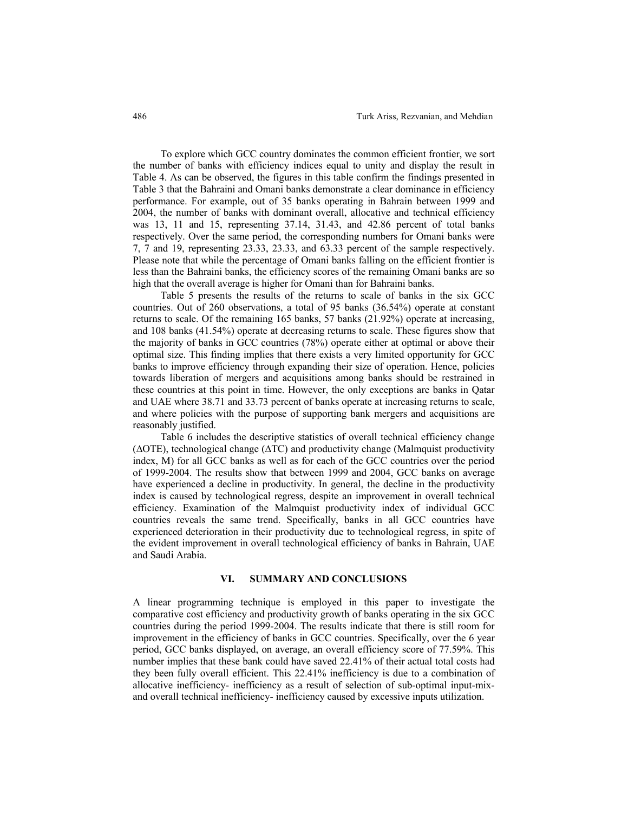To explore which GCC country dominates the common efficient frontier, we sort the number of banks with efficiency indices equal to unity and display the result in Table 4. As can be observed, the figures in this table confirm the findings presented in Table 3 that the Bahraini and Omani banks demonstrate a clear dominance in efficiency performance. For example, out of 35 banks operating in Bahrain between 1999 and 2004, the number of banks with dominant overall, allocative and technical efficiency was 13, 11 and 15, representing 37.14, 31.43, and 42.86 percent of total banks respectively. Over the same period, the corresponding numbers for Omani banks were 7, 7 and 19, representing 23.33, 23.33, and 63.33 percent of the sample respectively. Please note that while the percentage of Omani banks falling on the efficient frontier is less than the Bahraini banks, the efficiency scores of the remaining Omani banks are so high that the overall average is higher for Omani than for Bahraini banks.

Table 5 presents the results of the returns to scale of banks in the six GCC countries. Out of 260 observations, a total of 95 banks (36.54%) operate at constant returns to scale. Of the remaining 165 banks, 57 banks (21.92%) operate at increasing, and 108 banks (41.54%) operate at decreasing returns to scale. These figures show that the majority of banks in GCC countries (78%) operate either at optimal or above their optimal size. This finding implies that there exists a very limited opportunity for GCC banks to improve efficiency through expanding their size of operation. Hence, policies towards liberation of mergers and acquisitions among banks should be restrained in these countries at this point in time. However, the only exceptions are banks in Qatar and UAE where 38.71 and 33.73 percent of banks operate at increasing returns to scale, and where policies with the purpose of supporting bank mergers and acquisitions are reasonably justified.

Table 6 includes the descriptive statistics of overall technical efficiency change (∆OTE), technological change (∆TC) and productivity change (Malmquist productivity index, M) for all GCC banks as well as for each of the GCC countries over the period of 1999-2004. The results show that between 1999 and 2004, GCC banks on average have experienced a decline in productivity. In general, the decline in the productivity index is caused by technological regress, despite an improvement in overall technical efficiency. Examination of the Malmquist productivity index of individual GCC countries reveals the same trend. Specifically, banks in all GCC countries have experienced deterioration in their productivity due to technological regress, in spite of the evident improvement in overall technological efficiency of banks in Bahrain, UAE and Saudi Arabia.

# **VI. SUMMARY AND CONCLUSIONS**

A linear programming technique is employed in this paper to investigate the comparative cost efficiency and productivity growth of banks operating in the six GCC countries during the period 1999-2004. The results indicate that there is still room for improvement in the efficiency of banks in GCC countries. Specifically, over the 6 year period, GCC banks displayed, on average, an overall efficiency score of 77.59%. This number implies that these bank could have saved 22.41% of their actual total costs had they been fully overall efficient. This 22.41% inefficiency is due to a combination of allocative inefficiency- inefficiency as a result of selection of sub-optimal input-mixand overall technical inefficiency- inefficiency caused by excessive inputs utilization.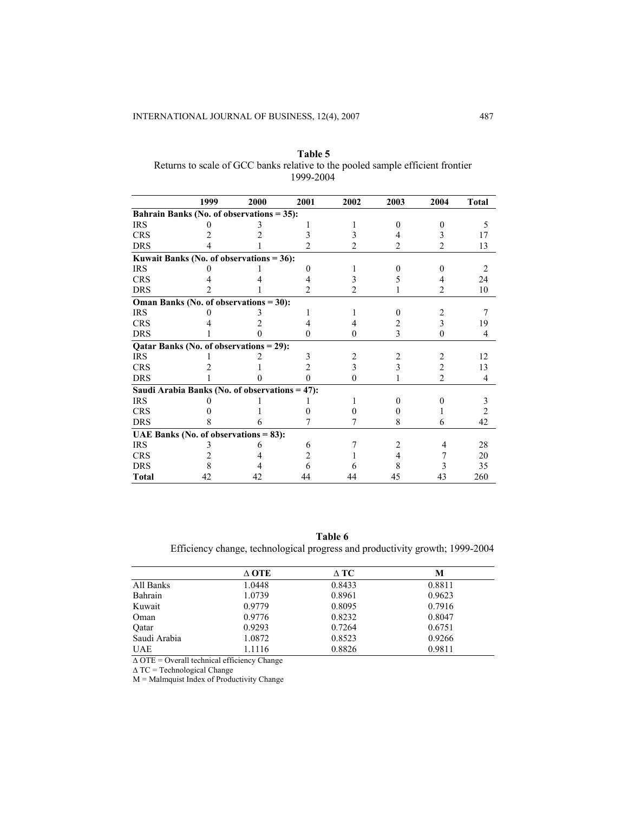|              | 1999                                           | 2000 | 2001     | 2002   | 2003           | 2004           | <b>Total</b>                  |
|--------------|------------------------------------------------|------|----------|--------|----------------|----------------|-------------------------------|
|              | Bahrain Banks (No. of observations = 35):      |      |          |        |                |                |                               |
| <b>IRS</b>   |                                                |      |          |        |                |                | 5                             |
| <b>CRS</b>   |                                                |      |          |        |                |                | 17                            |
| <b>DRS</b>   |                                                |      |          | 2      | $\overline{2}$ | 2              | 13                            |
|              | Kuwait Banks (No. of observations $= 36$ ):    |      |          |        |                |                |                               |
| <b>IRS</b>   |                                                |      |          |        |                |                | $\mathfrak{D}_{\mathfrak{p}}$ |
| <b>CRS</b>   |                                                |      |          |        |                |                | 24                            |
| DRS          |                                                |      | 2        |        |                | 2              | 10                            |
|              | Oman Banks (No. of observations = 30):         |      |          |        |                |                |                               |
| <b>IRS</b>   |                                                |      |          |        |                |                |                               |
| <b>CRS</b>   |                                                |      |          |        |                | 3              | 19                            |
| <b>DRS</b>   |                                                |      | 0        | $_{0}$ | 3              | 0              | 4                             |
|              | Qatar Banks (No. of observations = 29):        |      |          |        |                |                |                               |
| <b>IRS</b>   |                                                |      |          |        |                |                | 12                            |
| <b>CRS</b>   |                                                |      | 2        |        |                | 2              | 13                            |
| <b>DRS</b>   |                                                |      | $\Omega$ | 0      |                | $\overline{2}$ | 4                             |
|              | Saudi Arabia Banks (No. of observations = 47): |      |          |        |                |                |                               |
| <b>IRS</b>   |                                                |      |          |        |                |                | 3                             |
| <b>CRS</b>   |                                                |      |          |        |                |                | 2                             |
| <b>DRS</b>   |                                                |      |          |        | 8              | 6              | 42                            |
|              | UAE Banks (No. of observations $= 83$ ):       |      |          |        |                |                |                               |
| <b>IRS</b>   |                                                |      | 6        |        | 2              |                | 28                            |
| <b>CRS</b>   |                                                |      |          |        |                |                | 20                            |
| <b>DRS</b>   |                                                |      |          |        |                |                | 35                            |
| <b>Total</b> | 42                                             | 42   | 44       | 44     | 45             | 43             | 260                           |

**Table 5**  Returns to scale of GCC banks relative to the pooled sample efficient frontier 1999-2004

**Table 6**  Efficiency change, technological progress and productivity growth; 1999-2004

|              | A OTE  | $\wedge$ TC | М      |
|--------------|--------|-------------|--------|
| All Banks    | 1.0448 | 0.8433      | 0.8811 |
| Bahrain      | 1.0739 | 0.8961      | 0.9623 |
| Kuwait       | 0.9779 | 0.8095      | 0.7916 |
| Oman         | 0.9776 | 0.8232      | 0.8047 |
| Oatar        | 0.9293 | 0.7264      | 0.6751 |
| Saudi Arabia | 1.0872 | 0.8523      | 0.9266 |
| <b>UAE</b>   | 1.1116 | 0.8826      | 0.9811 |

∆ OTE = Overall technical efficiency Change

∆ TC = Technological Change

M = Malmquist Index of Productivity Change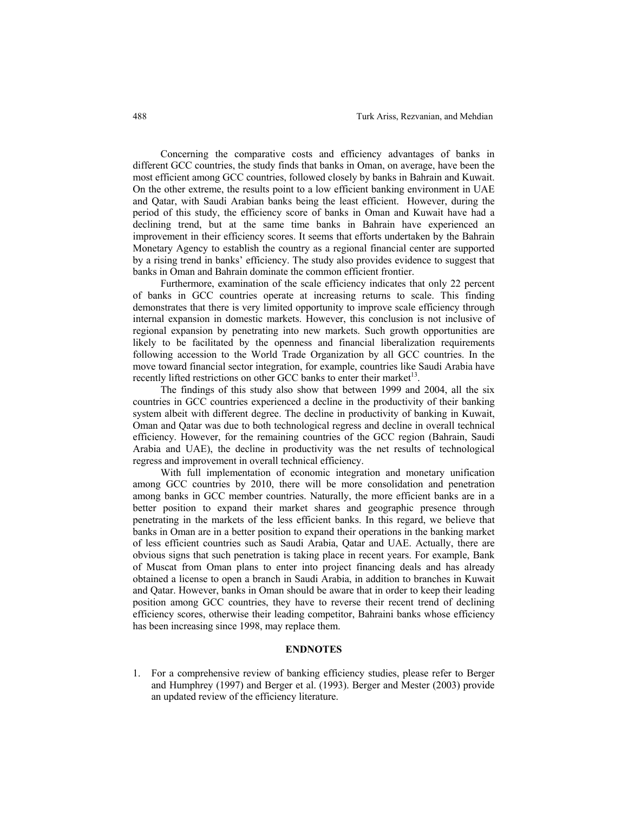Concerning the comparative costs and efficiency advantages of banks in different GCC countries, the study finds that banks in Oman, on average, have been the most efficient among GCC countries, followed closely by banks in Bahrain and Kuwait. On the other extreme, the results point to a low efficient banking environment in UAE and Qatar, with Saudi Arabian banks being the least efficient. However, during the period of this study, the efficiency score of banks in Oman and Kuwait have had a declining trend, but at the same time banks in Bahrain have experienced an improvement in their efficiency scores. It seems that efforts undertaken by the Bahrain Monetary Agency to establish the country as a regional financial center are supported by a rising trend in banks' efficiency. The study also provides evidence to suggest that banks in Oman and Bahrain dominate the common efficient frontier.

Furthermore, examination of the scale efficiency indicates that only 22 percent of banks in GCC countries operate at increasing returns to scale. This finding demonstrates that there is very limited opportunity to improve scale efficiency through internal expansion in domestic markets. However, this conclusion is not inclusive of regional expansion by penetrating into new markets. Such growth opportunities are likely to be facilitated by the openness and financial liberalization requirements following accession to the World Trade Organization by all GCC countries. In the move toward financial sector integration, for example, countries like Saudi Arabia have recently lifted restrictions on other GCC banks to enter their market<sup>13</sup>.

The findings of this study also show that between 1999 and 2004, all the six countries in GCC countries experienced a decline in the productivity of their banking system albeit with different degree. The decline in productivity of banking in Kuwait, Oman and Qatar was due to both technological regress and decline in overall technical efficiency. However, for the remaining countries of the GCC region (Bahrain, Saudi Arabia and UAE), the decline in productivity was the net results of technological regress and improvement in overall technical efficiency.

With full implementation of economic integration and monetary unification among GCC countries by 2010, there will be more consolidation and penetration among banks in GCC member countries. Naturally, the more efficient banks are in a better position to expand their market shares and geographic presence through penetrating in the markets of the less efficient banks. In this regard, we believe that banks in Oman are in a better position to expand their operations in the banking market of less efficient countries such as Saudi Arabia, Qatar and UAE. Actually, there are obvious signs that such penetration is taking place in recent years. For example, Bank of Muscat from Oman plans to enter into project financing deals and has already obtained a license to open a branch in Saudi Arabia, in addition to branches in Kuwait and Qatar. However, banks in Oman should be aware that in order to keep their leading position among GCC countries, they have to reverse their recent trend of declining efficiency scores, otherwise their leading competitor, Bahraini banks whose efficiency has been increasing since 1998, may replace them.

# **ENDNOTES**

1. For a comprehensive review of banking efficiency studies, please refer to Berger and Humphrey (1997) and Berger et al. (1993). Berger and Mester (2003) provide an updated review of the efficiency literature.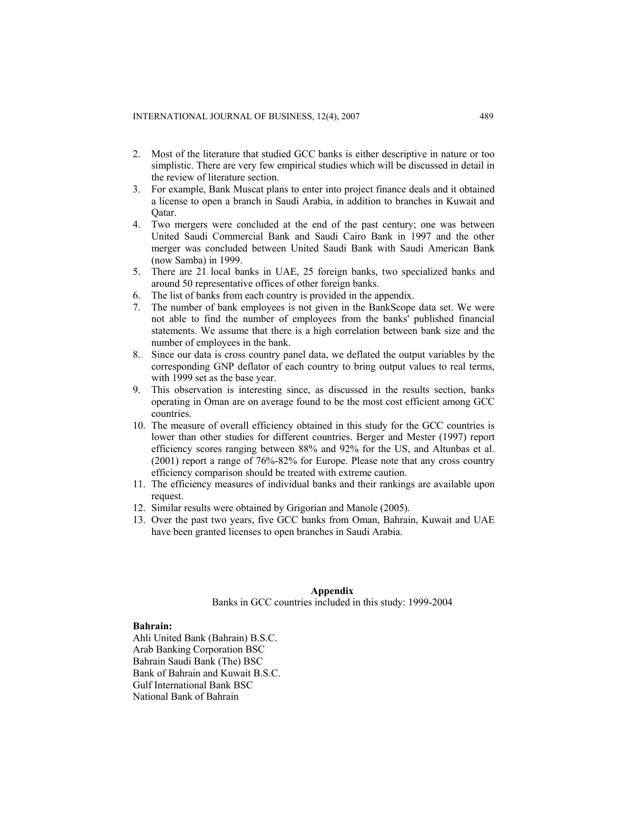- 2. Most of the literature that studied GCC banks is either descriptive in nature or too simplistic. There are very few empirical studies which will be discussed in detail in the review of literature section.
- 3. For example, Bank Muscat plans to enter into project finance deals and it obtained a license to open a branch in Saudi Arabia, in addition to branches in Kuwait and Qatar.
- 4. Two mergers were concluded at the end of the past century; one was between United Saudi Commercial Bank and Saudi Cairo Bank in 1997 and the other merger was concluded between United Saudi Bank with Saudi American Bank (now Samba) in 1999.
- 5. There are 21 local banks in UAE, 25 foreign banks, two specialized banks and around 50 representative offices of other foreign banks.
- 6. The list of banks from each country is provided in the appendix.
- 7. The number of bank employees is not given in the BankScope data set. We were not able to find the number of employees from the banks' published financial statements. We assume that there is a high correlation between bank size and the number of employees in the bank.
- 8. Since our data is cross country panel data, we deflated the output variables by the corresponding GNP deflator of each country to bring output values to real terms, with 1999 set as the base year.
- 9. This observation is interesting since, as discussed in the results section, banks operating in Oman are on average found to be the most cost efficient among GCC countries.
- 10. The measure of overall efficiency obtained in this study for the GCC countries is lower than other studies for different countries. Berger and Mester (1997) report efficiency scores ranging between 88% and 92% for the US, and Altunbas et al. (2001) report a range of 76%-82% for Europe. Please note that any cross country efficiency comparison should be treated with extreme caution.
- 11. The efficiency measures of individual banks and their rankings are available upon request.
- 12. Similar results were obtained by Grigorian and Manole (2005).
- 13. Over the past two years, five GCC banks from Oman, Bahrain, Kuwait and UAE have been granted licenses to open branches in Saudi Arabia.

# **Appendix**

Banks in GCC countries included in this study: 1999-2004

## **Bahrain:**

Ahli United Bank (Bahrain) B.S.C. Arab Banking Corporation BSC Bahrain Saudi Bank (The) BSC Bank of Bahrain and Kuwait B.S.C. Gulf International Bank BSC National Bank of Bahrain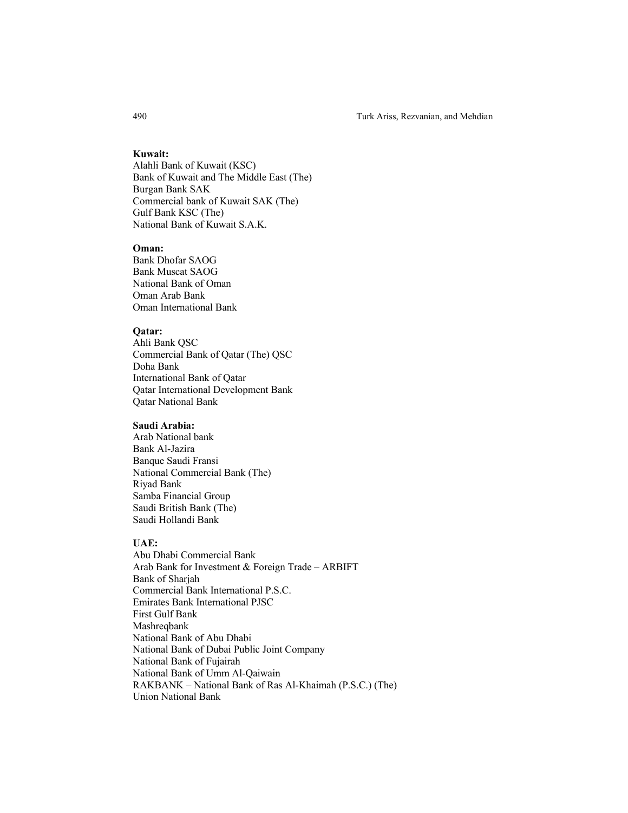#### **Kuwait:**

Alahli Bank of Kuwait (KSC) Bank of Kuwait and The Middle East (The) Burgan Bank SAK Commercial bank of Kuwait SAK (The) Gulf Bank KSC (The) National Bank of Kuwait S.A.K.

# **Oman:**

Bank Dhofar SAOG Bank Muscat SAOG National Bank of Oman Oman Arab Bank Oman International Bank

# **Qatar:**

Ahli Bank QSC Commercial Bank of Qatar (The) QSC Doha Bank International Bank of Qatar Qatar International Development Bank Qatar National Bank

#### **Saudi Arabia:**

Arab National bank Bank Al-Jazira Banque Saudi Fransi National Commercial Bank (The) Riyad Bank Samba Financial Group Saudi British Bank (The) Saudi Hollandi Bank

# **UAE:**

Abu Dhabi Commercial Bank Arab Bank for Investment & Foreign Trade – ARBIFT Bank of Sharjah Commercial Bank International P.S.C. Emirates Bank International PJSC First Gulf Bank Mashreqbank National Bank of Abu Dhabi National Bank of Dubai Public Joint Company National Bank of Fujairah National Bank of Umm Al-Qaiwain RAKBANK – National Bank of Ras Al-Khaimah (P.S.C.) (The) Union National Bank